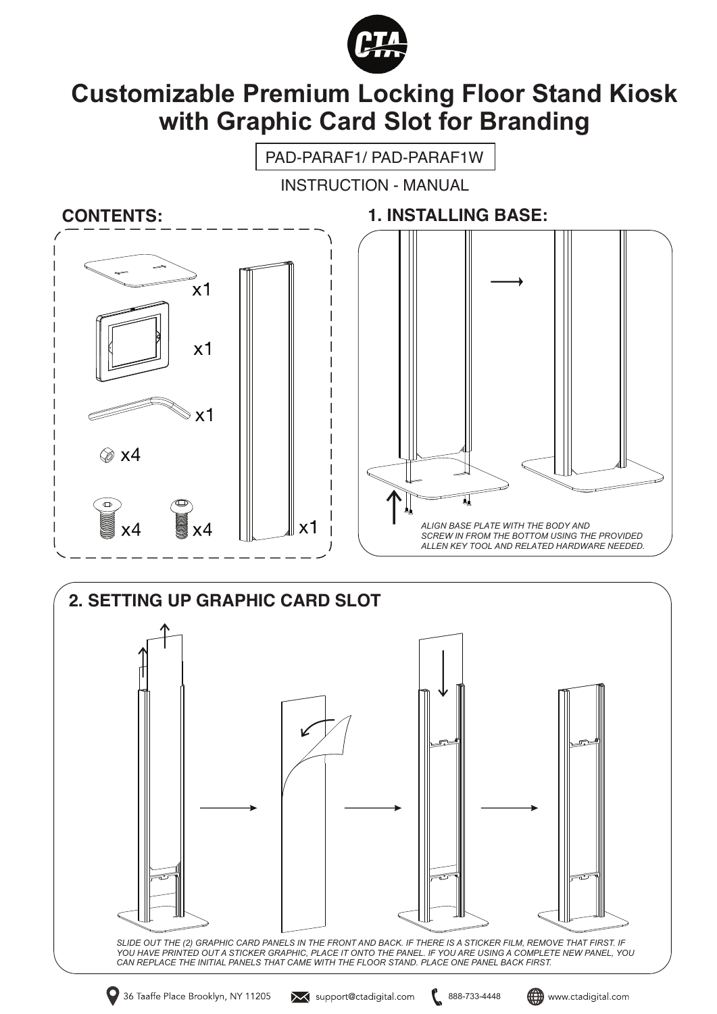

## **Customizable Premium Locking Floor Stand Kiosk with Graphic Card Slot for Branding**